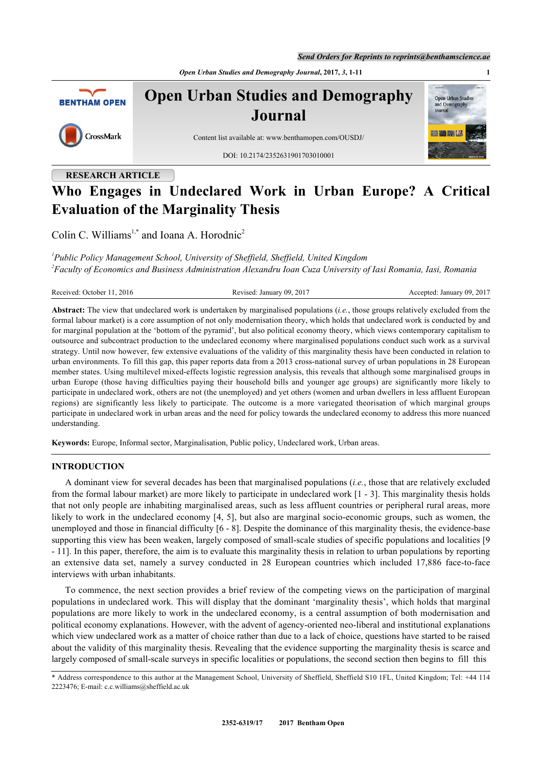*Open Urban Studies and Demography Journal***, 2017,** *3***, 1-11 1**



**Open Urban Studies and Demography Journal**



Content list available at: [www.benthamopen.com/OUSDJ/](http://www.benthamopen.com/OUSDJ/)

DOI: [10.2174/2352631901703010001](http://dx.doi.org/10.2174/2352631901703010001)



# **RESEARCH ARTICLE**

# **Who Engages in Undeclared Work in Urban Europe? A Critical Evaluation of the Marginality Thesis**

Colin C. Williams<sup>[1](#page-0-0)[,\\*](#page-0-1)</sup> and Ioana A. Horodnic<sup>[2](#page-0-2)</sup>

<span id="page-0-2"></span><span id="page-0-0"></span>*1 Public Policy Management School, University of Sheffield, Sheffield, United Kingdom 2 Faculty of Economics and Business Administration Alexandru Ioan Cuza University of Iasi Romania, Iasi, Romania*

| Received: October 11, 2016 | Revised: January 09, 2017 | Accepted: January 09, 2017 |
|----------------------------|---------------------------|----------------------------|
|                            |                           |                            |

**Abstract:** The view that undeclared work is undertaken by marginalised populations (*i.e.*, those groups relatively excluded from the formal labour market) is a core assumption of not only modernisation theory, which holds that undeclared work is conducted by and for marginal population at the 'bottom of the pyramid', but also political economy theory, which views contemporary capitalism to outsource and subcontract production to the undeclared economy where marginalised populations conduct such work as a survival strategy. Until now however, few extensive evaluations of the validity of this marginality thesis have been conducted in relation to urban environments. To fill this gap, this paper reports data from a 2013 cross-national survey of urban populations in 28 European member states. Using multilevel mixed-effects logistic regression analysis, this reveals that although some marginalised groups in urban Europe (those having difficulties paying their household bills and younger age groups) are significantly more likely to participate in undeclared work, others are not (the unemployed) and yet others (women and urban dwellers in less affluent European regions) are significantly less likely to participate. The outcome is a more variegated theorisation of which marginal groups participate in undeclared work in urban areas and the need for policy towards the undeclared economy to address this more nuanced understanding.

**Keywords:** Europe, Informal sector, Marginalisation, Public policy, Undeclared work, Urban areas.

# **INTRODUCTION**

A dominant view for several decades has been that marginalised populations (*i.e.*, those that are relatively excluded from the formal labour market) are more likely to participate in undeclared work [[1](#page-7-0) - [3\]](#page-7-1). This marginality thesis holds that not only people are inhabiting marginalised areas, such as less affluent countries or peripheral rural areas, more likely to work in the undeclared economy [[4](#page-7-2), [5](#page-7-3)], but also are marginal socio-economic groups, such as women, the unemployed and those in financial difficulty [[6](#page-7-4) - [8](#page-8-0)]. Despite the dominance of this marginality thesis, the evidence-base supporting this view has been weaken, largely composed of small-scale studies of specific populations and localities [[9](#page-8-1)] - [11\]](#page-8-2). In this paper, therefore, the aim is to evaluate this marginality thesis in relation to urban populations by reporting an extensive data set, namely a survey conducted in 28 European countries which included 17,886 face-to-face interviews with urban inhabitants.

To commence, the next section provides a brief review of the competing views on the participation of marginal populations in undeclared work. This will display that the dominant 'marginality thesis', which holds that marginal populations are more likely to work in the undeclared economy, is a central assumption of both modernisation and political economy explanations. However, with the advent of agency-oriented neo-liberal and institutional explanations which view undeclared work as a matter of choice rather than due to a lack of choice, questions have started to be raised about the validity of this marginality thesis. Revealing that the evidence supporting the marginality thesis is scarce and largely composed of small-scale surveys in specific localities or populations, the second section then begins to fill this

<span id="page-0-1"></span><sup>\*</sup> Address correspondence to this author at the Management School, University of Sheffield, Sheffield S10 1FL, United Kingdom; Tel: +44 114 2223476; E-mail: [c.c.williams@sheffield.ac.uk](mailto:c.c.williams@sheffield.ac.uk)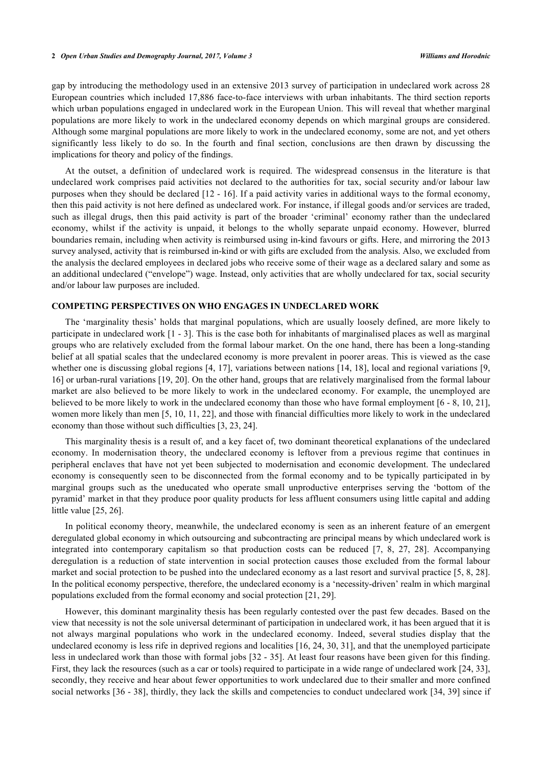gap by introducing the methodology used in an extensive 2013 survey of participation in undeclared work across 28 European countries which included 17,886 face-to-face interviews with urban inhabitants. The third section reports which urban populations engaged in undeclared work in the European Union. This will reveal that whether marginal populations are more likely to work in the undeclared economy depends on which marginal groups are considered. Although some marginal populations are more likely to work in the undeclared economy, some are not, and yet others significantly less likely to do so. In the fourth and final section, conclusions are then drawn by discussing the implications for theory and policy of the findings.

At the outset, a definition of undeclared work is required. The widespread consensus in the literature is that undeclared work comprises paid activities not declared to the authorities for tax, social security and/or labour law purposes when they should be declared [\[12](#page-8-3) - [16](#page-8-4)]. If a paid activity varies in additional ways to the formal economy, then this paid activity is not here defined as undeclared work. For instance, if illegal goods and/or services are traded, such as illegal drugs, then this paid activity is part of the broader 'criminal' economy rather than the undeclared economy, whilst if the activity is unpaid, it belongs to the wholly separate unpaid economy. However, blurred boundaries remain, including when activity is reimbursed using in-kind favours or gifts. Here, and mirroring the 2013 survey analysed, activity that is reimbursed in-kind or with gifts are excluded from the analysis. Also, we excluded from the analysis the declared employees in declared jobs who receive some of their wage as a declared salary and some as an additional undeclared ("envelope") wage. Instead, only activities that are wholly undeclared for tax, social security and/or labour law purposes are included.

# **COMPETING PERSPECTIVES ON WHO ENGAGES IN UNDECLARED WORK**

The 'marginality thesis' holds that marginal populations, which are usually loosely defined, are more likely to participate in undeclared work [[1](#page-7-0) - [3\]](#page-7-1). This is the case both for inhabitants of marginalised places as well as marginal groups who are relatively excluded from the formal labour market. On the one hand, there has been a long-standing belief at all spatial scales that the undeclared economy is more prevalent in poorer areas. This is viewed as the case whether one is discussing global regions [[4](#page-7-2), [17\]](#page-8-5), variations between nations [[14,](#page-8-6) [18](#page-8-7)], local and regional variations [[9](#page-8-1), [16\]](#page-8-4) or urban-rural variations [\[19](#page-8-8), [20](#page-8-9)]. On the other hand, groups that are relatively marginalised from the formal labour market are also believed to be more likely to work in the undeclared economy. For example, the unemployed are believed to be more likely to work in the undeclared economy than those who have formal employment [\[6](#page-7-4) - [8](#page-8-0), [10](#page-8-10), [21\]](#page-8-11), women more likely than men [\[5](#page-7-3), [10](#page-8-10), [11,](#page-8-2) [22\]](#page-8-12), and those with financial difficulties more likely to work in the undeclared economy than those without such difficulties [\[3](#page-7-1), [23](#page-8-13), [24](#page-8-14)].

This marginality thesis is a result of, and a key facet of, two dominant theoretical explanations of the undeclared economy. In modernisation theory, the undeclared economy is leftover from a previous regime that continues in peripheral enclaves that have not yet been subjected to modernisation and economic development. The undeclared economy is consequently seen to be disconnected from the formal economy and to be typically participated in by marginal groups such as the uneducated who operate small unproductive enterprises serving the 'bottom of the pyramid' market in that they produce poor quality products for less affluent consumers using little capital and adding little value [\[25](#page-8-15), [26](#page-8-16)].

In political economy theory, meanwhile, the undeclared economy is seen as an inherent feature of an emergent deregulated global economy in which outsourcing and subcontracting are principal means by which undeclared work is integrated into contemporary capitalism so that production costs can be reduced [\[7](#page-8-17), [8,](#page-8-0) [27](#page-8-18), [28\]](#page-8-19). Accompanying deregulation is a reduction of state intervention in social protection causes those excluded from the formal labour market and social protection to be pushed into the undeclared economy as a last resort and survival practice [[5,](#page-7-3) [8](#page-8-0), [28\]](#page-8-19). In the political economy perspective, therefore, the undeclared economy is a 'necessity-driven' realm in which marginal populations excluded from the formal economy and social protection [[21,](#page-8-11) [29\]](#page-8-20).

However, this dominant marginality thesis has been regularly contested over the past few decades. Based on the view that necessity is not the sole universal determinant of participation in undeclared work, it has been argued that it is not always marginal populations who work in the undeclared economy. Indeed, several studies display that the undeclared economy is less rife in deprived regions and localities [\[16,](#page-8-4) [24,](#page-8-14) [30](#page-8-21), [31\]](#page-8-22), and that the unemployed participate less in undeclared work than those with formal jobs [[32](#page-8-23) - [35\]](#page-8-24). At least four reasons have been given for this finding. First, they lack the resources (such as a car or tools) required to participate in a wide range of undeclared work [[24,](#page-8-14) [33\]](#page-8-25), secondly, they receive and hear about fewer opportunities to work undeclared due to their smaller and more confined social networks [\[36](#page-9-0) - [38\]](#page-9-1), thirdly, they lack the skills and competencies to conduct undeclared work [\[34](#page-8-26), [39](#page-9-2)] since if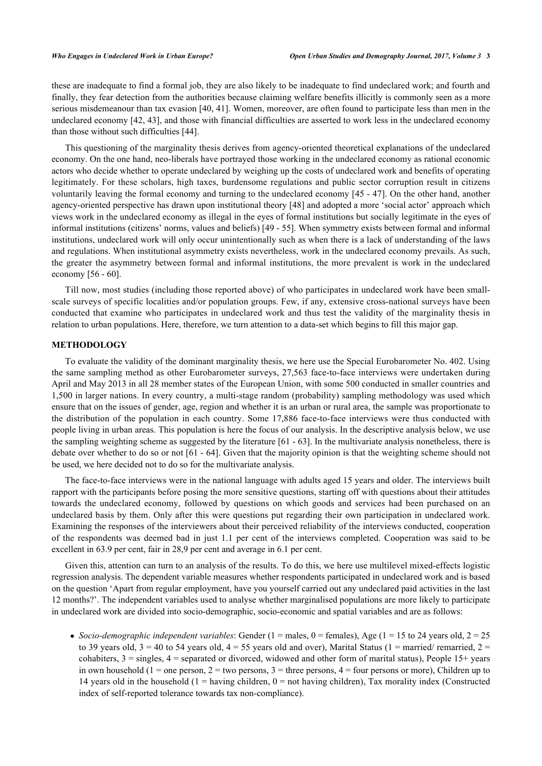these are inadequate to find a formal job, they are also likely to be inadequate to find undeclared work; and fourth and finally, they fear detection from the authorities because claiming welfare benefits illicitly is commonly seen as a more serious misdemeanour than tax evasion [\[40](#page-9-3), [41\]](#page-9-4). Women, moreover, are often found to participate less than men in the undeclared economy [[42,](#page-9-5) [43](#page-9-6)], and those with financial difficulties are asserted to work less in the undeclared economy than those without such difficulties [\[44](#page-9-7)].

This questioning of the marginality thesis derives from agency-oriented theoretical explanations of the undeclared economy. On the one hand, neo-liberals have portrayed those working in the undeclared economy as rational economic actors who decide whether to operate undeclared by weighing up the costs of undeclared work and benefits of operating legitimately. For these scholars, high taxes, burdensome regulations and public sector corruption result in citizens voluntarily leaving the formal economy and turning to the undeclared economy [[45](#page-9-8) - [47\]](#page-9-9). On the other hand, another agency-oriented perspective has drawn upon institutional theory [\[48](#page-9-10)] and adopted a more 'social actor' approach which views work in the undeclared economy as illegal in the eyes of formal institutions but socially legitimate in the eyes of informal institutions (citizens' norms, values and beliefs) [\[49](#page-9-11) - [55\]](#page-9-12). When symmetry exists between formal and informal institutions, undeclared work will only occur unintentionally such as when there is a lack of understanding of the laws and regulations. When institutional asymmetry exists nevertheless, work in the undeclared economy prevails. As such, the greater the asymmetry between formal and informal institutions, the more prevalent is work in the undeclared economy [\[56](#page-9-13) - [60\]](#page-10-0).

Till now, most studies (including those reported above) of who participates in undeclared work have been smallscale surveys of specific localities and/or population groups. Few, if any, extensive cross-national surveys have been conducted that examine who participates in undeclared work and thus test the validity of the marginality thesis in relation to urban populations. Here, therefore, we turn attention to a data-set which begins to fill this major gap.

## **METHODOLOGY**

To evaluate the validity of the dominant marginality thesis, we here use the Special Eurobarometer No. 402. Using the same sampling method as other Eurobarometer surveys, 27,563 face-to-face interviews were undertaken during April and May 2013 in all 28 member states of the European Union, with some 500 conducted in smaller countries and 1,500 in larger nations. In every country, a multi-stage random (probability) sampling methodology was used which ensure that on the issues of gender, age, region and whether it is an urban or rural area, the sample was proportionate to the distribution of the population in each country. Some 17,886 face-to-face interviews were thus conducted with people living in urban areas. This population is here the focus of our analysis. In the descriptive analysis below, we use the sampling weighting scheme as suggested by the literature [[61](#page-10-1) - [63](#page-10-2)]. In the multivariate analysis nonetheless, there is debate over whether to do so or not [[61](#page-10-1) - [64\]](#page-10-3). Given that the majority opinion is that the weighting scheme should not be used, we here decided not to do so for the multivariate analysis.

The face-to-face interviews were in the national language with adults aged 15 years and older. The interviews built rapport with the participants before posing the more sensitive questions, starting off with questions about their attitudes towards the undeclared economy, followed by questions on which goods and services had been purchased on an undeclared basis by them. Only after this were questions put regarding their own participation in undeclared work. Examining the responses of the interviewers about their perceived reliability of the interviews conducted, cooperation of the respondents was deemed bad in just 1.1 per cent of the interviews completed. Cooperation was said to be excellent in 63.9 per cent, fair in 28,9 per cent and average in 6.1 per cent.

Given this, attention can turn to an analysis of the results. To do this, we here use multilevel mixed-effects logistic regression analysis. The dependent variable measures whether respondents participated in undeclared work and is based on the question 'Apart from regular employment, have you yourself carried out any undeclared paid activities in the last 12 months?'. The independent variables used to analyse whether marginalised populations are more likely to participate in undeclared work are divided into socio-demographic, socio-economic and spatial variables and are as follows:

• Socio-demographic independent variables: Gender ( $1 =$  males,  $0 =$  females), Age ( $1 = 15$  to 24 years old,  $2 = 25$ to 39 years old,  $3 = 40$  to 54 years old,  $4 = 55$  years old and over), Marital Status (1 = married/ remarried, 2 = cohabiters,  $3 = \text{single}$ ,  $4 = \text{separated}$  or divorced, widowed and other form of marital status), People  $15 + \text{years}$ in own household (1 = one person, 2 = two persons, 3 = three persons, 4 = four persons or more), Children up to 14 years old in the household (1 = having children,  $0 =$  not having children), Tax morality index (Constructed index of self-reported tolerance towards tax non-compliance).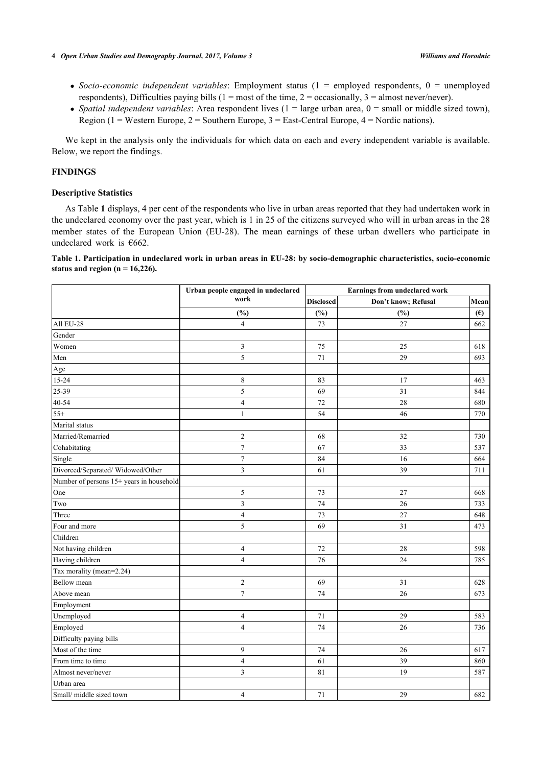- *Socio-economic independent variables*: Employment status (1 = employed respondents, 0 = unemployed respondents), Difficulties paying bills (1 = most of the time, 2 = occasionally, 3 = almost never/never).
- Spatial independent variables: Area respondent lives  $(1 = \text{large urban area}, 0 = \text{small or middle sized town})$ , Region (1 = Western Europe, 2 = Southern Europe, 3 = East-Central Europe,  $4$  = Nordic nations).

We kept in the analysis only the individuals for which data on each and every independent variable is available. Below, we report the findings.

# **FINDINGS**

### **Descriptive Statistics**

As Table **[1](#page-3-0)** displays, 4 per cent of the respondents who live in urban areas reported that they had undertaken work in the undeclared economy over the past year, which is 1 in 25 of the citizens surveyed who will in urban areas in the 28 member states of the European Union (EU-28). The mean earnings of these urban dwellers who participate in undeclared work is  $€662$ .

<span id="page-3-0"></span>**Table 1. Participation in undeclared work in urban areas in EU-28: by socio-demographic characteristics, socio-economic status and region (n = 16,226).**

|                                          | Urban people engaged in undeclared | Earnings from undeclared work |                     |              |  |
|------------------------------------------|------------------------------------|-------------------------------|---------------------|--------------|--|
|                                          | work                               | <b>Disclosed</b>              | Don't know; Refusal | Mean         |  |
|                                          | (%)                                | (%)                           | $(\%)$              | $(\epsilon)$ |  |
| All EU-28                                | $\overline{4}$                     | 73                            | 27                  | 662          |  |
| Gender                                   |                                    |                               |                     |              |  |
| Women                                    | 3                                  | 75                            | 25                  | 618          |  |
| Men                                      | 5                                  | 71                            | 29                  | 693          |  |
| Age                                      |                                    |                               |                     |              |  |
| 15-24                                    | $\,$ $\,$                          | 83                            | 17                  | 463          |  |
| $25 - 39$                                | 5                                  | 69                            | 31                  | 844          |  |
| $40 - 54$                                | $\overline{\mathbf{4}}$            | 72                            | 28                  | 680          |  |
| $55+$                                    | $\mathbf{1}$                       | 54                            | 46                  | 770          |  |
| Marital status                           |                                    |                               |                     |              |  |
| Married/Remarried                        | $\overline{c}$                     | 68                            | 32                  | 730          |  |
| Cohabitating                             | $\overline{7}$                     | 67                            | 33                  | 537          |  |
| Single                                   | $\sqrt{ }$                         | 84                            | 16                  | 664          |  |
| Divorced/Separated/Widowed/Other         | 3                                  | 61                            | 39                  | 711          |  |
| Number of persons 15+ years in household |                                    |                               |                     |              |  |
| One                                      | 5                                  | 73                            | 27                  | 668          |  |
| Two                                      | $\mathfrak z$                      | 74                            | 26                  | 733          |  |
| Three                                    | $\overline{4}$                     | 73                            | 27                  | 648          |  |
| Four and more                            | 5                                  | 69                            | 31                  | 473          |  |
| Children                                 |                                    |                               |                     |              |  |
| Not having children                      | $\overline{4}$                     | 72                            | 28                  | 598          |  |
| Having children                          | $\overline{\mathbf{4}}$            | 76                            | 24                  | 785          |  |
| Tax morality (mean=2.24)                 |                                    |                               |                     |              |  |
| Bellow mean                              | $\mathfrak{2}$                     | 69                            | 31                  | 628          |  |
| Above mean                               | $\sqrt{ }$                         | 74                            | 26                  | 673          |  |
| Employment                               |                                    |                               |                     |              |  |
| Unemployed                               | 4                                  | 71                            | 29                  | 583          |  |
| Employed                                 | $\overline{\mathbf{4}}$            | 74                            | 26                  | 736          |  |
| Difficulty paying bills                  |                                    |                               |                     |              |  |
| Most of the time                         | 9                                  | 74                            | 26                  | 617          |  |
| From time to time                        | $\overline{4}$                     | 61                            | 39                  | 860          |  |
| Almost never/never                       | 3                                  | 81                            | 19                  | 587          |  |
| Urban area                               |                                    |                               |                     |              |  |
| Small/ middle sized town                 | 4                                  | 71                            | 29                  | 682          |  |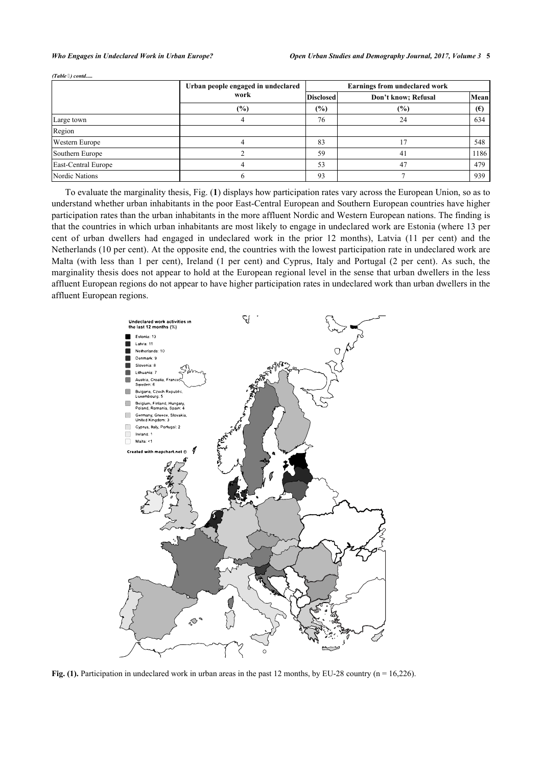*(Table ) contd.....*

|                     | Urban people engaged in undeclared | Earnings from undeclared work |                     |              |  |
|---------------------|------------------------------------|-------------------------------|---------------------|--------------|--|
|                     | work                               | <b>Disclosed</b>              | Don't know; Refusal | Mean         |  |
|                     | (%)                                | $(\%)$                        | $(\%)$              | $(\epsilon)$ |  |
| Large town          |                                    | 76                            | 24                  | 634          |  |
| Region              |                                    |                               |                     |              |  |
| Western Europe      |                                    | 83                            |                     | 548          |  |
| Southern Europe     |                                    | 59                            | 41                  | 1186         |  |
| East-Central Europe |                                    | 53                            | 47                  | 479          |  |
| Nordic Nations      |                                    | 93                            |                     | 939          |  |

To evaluate the marginality thesis, Fig. (**[1](#page-4-0)**) displays how participation rates vary across the European Union, so as to understand whether urban inhabitants in the poor East-Central European and Southern European countries have higher participation rates than the urban inhabitants in the more affluent Nordic and Western European nations. The finding is that the countries in which urban inhabitants are most likely to engage in undeclared work are Estonia (where 13 per cent of urban dwellers had engaged in undeclared work in the prior 12 months), Latvia (11 per cent) and the Netherlands (10 per cent). At the opposite end, the countries with the lowest participation rate in undeclared work are Malta (with less than 1 per cent), Ireland (1 per cent) and Cyprus, Italy and Portugal (2 per cent). As such, the marginality thesis does not appear to hold at the European regional level in the sense that urban dwellers in the less affluent European regions do not appear to have higher participation rates in undeclared work than urban dwellers in the affluent European regions.

<span id="page-4-0"></span>

**Fig. (1).** Participation in undeclared work in urban areas in the past 12 months, by EU-28 country (n = 16,226).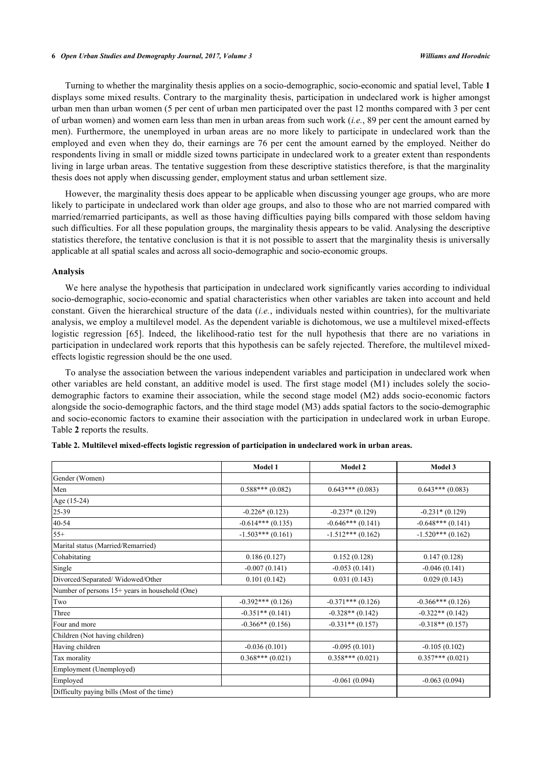#### **6** *Open Urban Studies and Demography Journal, 2017, Volume 3 Williams and Horodnic*

Turning to whether the marginality thesis applies on a socio-demographic, socio-economic and spatial level, Table **[1](#page-3-0)** displays some mixed results. Contrary to the marginality thesis, participation in undeclared work is higher amongst urban men than urban women (5 per cent of urban men participated over the past 12 months compared with 3 per cent of urban women) and women earn less than men in urban areas from such work (*i.e.*, 89 per cent the amount earned by men). Furthermore, the unemployed in urban areas are no more likely to participate in undeclared work than the employed and even when they do, their earnings are 76 per cent the amount earned by the employed. Neither do respondents living in small or middle sized towns participate in undeclared work to a greater extent than respondents living in large urban areas. The tentative suggestion from these descriptive statistics therefore, is that the marginality thesis does not apply when discussing gender, employment status and urban settlement size.

However, the marginality thesis does appear to be applicable when discussing younger age groups, who are more likely to participate in undeclared work than older age groups, and also to those who are not married compared with married/remarried participants, as well as those having difficulties paying bills compared with those seldom having such difficulties. For all these population groups, the marginality thesis appears to be valid. Analysing the descriptive statistics therefore, the tentative conclusion is that it is not possible to assert that the marginality thesis is universally applicable at all spatial scales and across all socio-demographic and socio-economic groups.

### **Analysis**

We here analyse the hypothesis that participation in undeclared work significantly varies according to individual socio-demographic, socio-economic and spatial characteristics when other variables are taken into account and held constant. Given the hierarchical structure of the data (*i.e.*, individuals nested within countries), for the multivariate analysis, we employ a multilevel model. As the dependent variable is dichotomous, we use a multilevel mixed-effects logistic regression [\[65](#page-10-4)]. Indeed, the likelihood-ratio test for the null hypothesis that there are no variations in participation in undeclared work reports that this hypothesis can be safely rejected. Therefore, the multilevel mixedeffects logistic regression should be the one used.

To analyse the association between the various independent variables and participation in undeclared work when other variables are held constant, an additive model is used. The first stage model (M1) includes solely the sociodemographic factors to examine their association, while the second stage model (M2) adds socio-economic factors alongside the socio-demographic factors, and the third stage model (M3) adds spatial factors to the socio-demographic and socio-economic factors to examine their association with the participation in undeclared work in urban Europe. Table **[2](#page-5-0)** reports the results.

|                                                | Model 1            | <b>Model 2</b>      | Model 3             |
|------------------------------------------------|--------------------|---------------------|---------------------|
| Gender (Women)                                 |                    |                     |                     |
| Men                                            | $0.588***(0.082)$  | $0.643***(0.083)$   | $0.643***(0.083)$   |
| Age (15-24)                                    |                    |                     |                     |
| 25-39                                          | $-0.226*(0.123)$   | $-0.237*(0.129)$    | $-0.231*(0.129)$    |
| 40-54                                          | $-0.614***(0.135)$ | $-0.646***(0.141)$  | $-0.648***(0.141)$  |
| $55+$                                          | $-1.503***(0.161)$ | $-1.512***(0.162)$  | $-1.520***$ (0.162) |
| Marital status (Married/Remarried)             |                    |                     |                     |
| Cohabitating                                   | 0.186(0.127)       | 0.152(0.128)        | 0.147(0.128)        |
| Single                                         | $-0.007(0.141)$    | $-0.053(0.141)$     | $-0.046(0.141)$     |
| Divorced/Separated/Widowed/Other               | 0.101(0.142)       | 0.031(0.143)        | 0.029(0.143)        |
| Number of persons 15+ years in household (One) |                    |                     |                     |
| Two                                            | $-0.392***(0.126)$ | $-0.371***$ (0.126) | $-0.366***(0.126)$  |
| Three                                          | $-0.351**$ (0.141) | $-0.328**$ (0.142)  | $-0.322**$ (0.142)  |
| Four and more                                  | $-0.366**$ (0.156) | $-0.331**$ (0.157)  | $-0.318**$ (0.157)  |
| Children (Not having children)                 |                    |                     |                     |
| Having children                                | $-0.036(0.101)$    | $-0.095(0.101)$     | $-0.105(0.102)$     |
| Tax morality                                   | $0.368***(0.021)$  | $0.358***(0.021)$   | $0.357***(0.021)$   |
| Employment (Unemployed)                        |                    |                     |                     |
| Employed                                       |                    | $-0.061(0.094)$     | $-0.063(0.094)$     |
| Difficulty paying bills (Most of the time)     |                    |                     |                     |

<span id="page-5-0"></span>

| Table 2. Multilevel mixed-effects logistic regression of participation in undeclared work in urban areas. |  |  |  |  |
|-----------------------------------------------------------------------------------------------------------|--|--|--|--|
|                                                                                                           |  |  |  |  |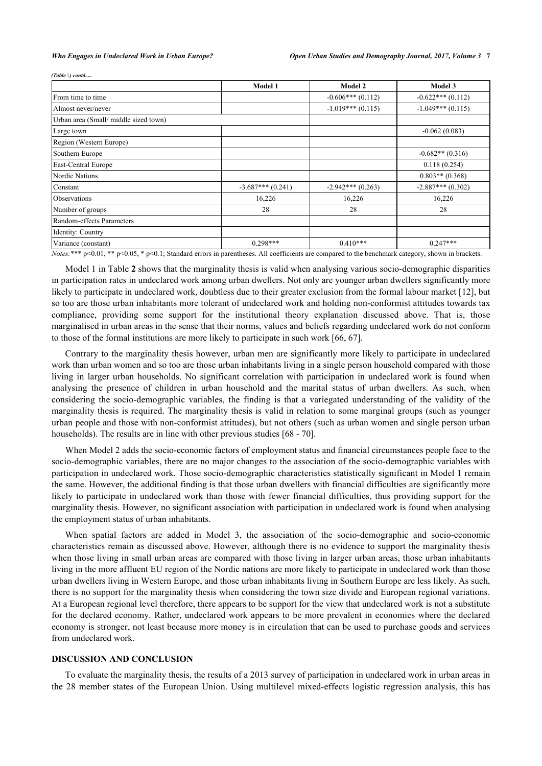*(Table ) contd.....*

|                                      | <b>Model 1</b>      | Model 2             | Model 3             |
|--------------------------------------|---------------------|---------------------|---------------------|
| From time to time                    |                     | $-0.606***(0.112)$  | $-0.622***(0.112)$  |
| Almost never/never                   |                     | $-1.019***(0.115)$  | $-1.049***$ (0.115) |
| Urban area (Small/middle sized town) |                     |                     |                     |
| Large town                           |                     |                     | $-0.062(0.083)$     |
| Region (Western Europe)              |                     |                     |                     |
| Southern Europe                      |                     |                     | $-0.682**$ (0.316)  |
| East-Central Europe                  |                     |                     | 0.118(0.254)        |
| Nordic Nations                       |                     |                     | $0.803**$ (0.368)   |
| Constant                             | $-3.687***$ (0.241) | $-2.942***$ (0.263) | $-2.887***$ (0.302) |
| <b>Observations</b>                  | 16,226              | 16,226              | 16,226              |
| Number of groups                     | 28                  | 28                  | 28                  |
| Random-effects Parameters            |                     |                     |                     |
| Identity: Country                    |                     |                     |                     |
| Variance (constant)                  | $0.298***$          | $0.410***$          | $0.247***$          |

*Notes:*\*\*\* p<0.01, \*\* p<0.05, \* p<0.1; Standard errors in parentheses. All coefficients are compared to the benchmark category, shown in brackets.

Model 1 in Table **[2](#page-5-0)** shows that the marginality thesis is valid when analysing various socio-demographic disparities in participation rates in undeclared work among urban dwellers. Not only are younger urban dwellers significantly more likely to participate in undeclared work, doubtless due to their greater exclusion from the formal labour market [\[12](#page-8-3)], but so too are those urban inhabitants more tolerant of undeclared work and holding non-conformist attitudes towards tax compliance, providing some support for the institutional theory explanation discussed above. That is, those marginalised in urban areas in the sense that their norms, values and beliefs regarding undeclared work do not conform to those of the formal institutions are more likely to participate in such work [[66,](#page-10-5) [67\]](#page-10-6).

Contrary to the marginality thesis however, urban men are significantly more likely to participate in undeclared work than urban women and so too are those urban inhabitants living in a single person household compared with those living in larger urban households. No significant correlation with participation in undeclared work is found when analysing the presence of children in urban household and the marital status of urban dwellers. As such, when considering the socio-demographic variables, the finding is that a variegated understanding of the validity of the marginality thesis is required. The marginality thesis is valid in relation to some marginal groups (such as younger urban people and those with non-conformist attitudes), but not others (such as urban women and single person urban households). The results are in line with other previous studies [\[68](#page-10-7) - [70](#page-10-8)].

When Model 2 adds the socio-economic factors of employment status and financial circumstances people face to the socio-demographic variables, there are no major changes to the association of the socio-demographic variables with participation in undeclared work. Those socio-demographic characteristics statistically significant in Model 1 remain the same. However, the additional finding is that those urban dwellers with financial difficulties are significantly more likely to participate in undeclared work than those with fewer financial difficulties, thus providing support for the marginality thesis. However, no significant association with participation in undeclared work is found when analysing the employment status of urban inhabitants.

When spatial factors are added in Model 3, the association of the socio-demographic and socio-economic characteristics remain as discussed above. However, although there is no evidence to support the marginality thesis when those living in small urban areas are compared with those living in larger urban areas, those urban inhabitants living in the more affluent EU region of the Nordic nations are more likely to participate in undeclared work than those urban dwellers living in Western Europe, and those urban inhabitants living in Southern Europe are less likely. As such, there is no support for the marginality thesis when considering the town size divide and European regional variations. At a European regional level therefore, there appears to be support for the view that undeclared work is not a substitute for the declared economy. Rather, undeclared work appears to be more prevalent in economies where the declared economy is stronger, not least because more money is in circulation that can be used to purchase goods and services from undeclared work.

#### **DISCUSSION AND CONCLUSION**

To evaluate the marginality thesis, the results of a 2013 survey of participation in undeclared work in urban areas in the 28 member states of the European Union. Using multilevel mixed-effects logistic regression analysis, this has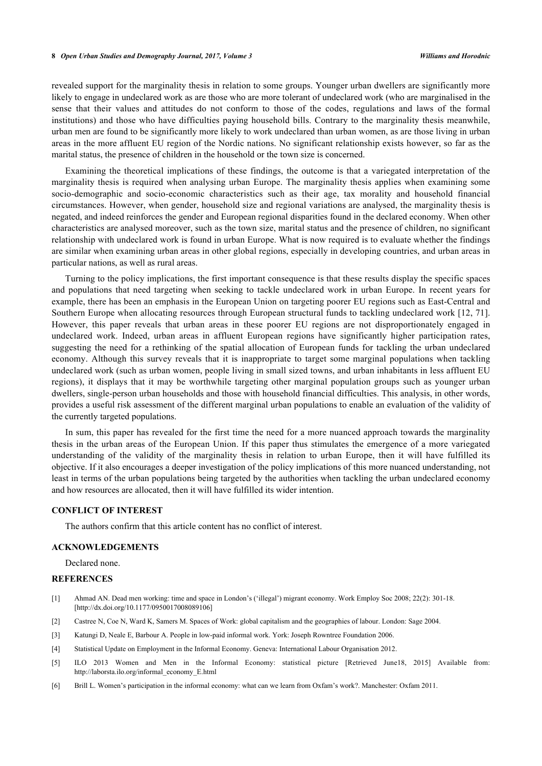#### **8** *Open Urban Studies and Demography Journal, 2017, Volume 3 Williams and Horodnic*

revealed support for the marginality thesis in relation to some groups. Younger urban dwellers are significantly more likely to engage in undeclared work as are those who are more tolerant of undeclared work (who are marginalised in the sense that their values and attitudes do not conform to those of the codes, regulations and laws of the formal institutions) and those who have difficulties paying household bills. Contrary to the marginality thesis meanwhile, urban men are found to be significantly more likely to work undeclared than urban women, as are those living in urban areas in the more affluent EU region of the Nordic nations. No significant relationship exists however, so far as the marital status, the presence of children in the household or the town size is concerned.

Examining the theoretical implications of these findings, the outcome is that a variegated interpretation of the marginality thesis is required when analysing urban Europe. The marginality thesis applies when examining some socio-demographic and socio-economic characteristics such as their age, tax morality and household financial circumstances. However, when gender, household size and regional variations are analysed, the marginality thesis is negated, and indeed reinforces the gender and European regional disparities found in the declared economy. When other characteristics are analysed moreover, such as the town size, marital status and the presence of children, no significant relationship with undeclared work is found in urban Europe. What is now required is to evaluate whether the findings are similar when examining urban areas in other global regions, especially in developing countries, and urban areas in particular nations, as well as rural areas.

Turning to the policy implications, the first important consequence is that these results display the specific spaces and populations that need targeting when seeking to tackle undeclared work in urban Europe. In recent years for example, there has been an emphasis in the European Union on targeting poorer EU regions such as East-Central and Southern Europe when allocating resources through European structural funds to tackling undeclared work [[12,](#page-8-3) [71\]](#page-10-9). However, this paper reveals that urban areas in these poorer EU regions are not disproportionately engaged in undeclared work. Indeed, urban areas in affluent European regions have significantly higher participation rates, suggesting the need for a rethinking of the spatial allocation of European funds for tackling the urban undeclared economy. Although this survey reveals that it is inappropriate to target some marginal populations when tackling undeclared work (such as urban women, people living in small sized towns, and urban inhabitants in less affluent EU regions), it displays that it may be worthwhile targeting other marginal population groups such as younger urban dwellers, single-person urban households and those with household financial difficulties. This analysis, in other words, provides a useful risk assessment of the different marginal urban populations to enable an evaluation of the validity of the currently targeted populations.

In sum, this paper has revealed for the first time the need for a more nuanced approach towards the marginality thesis in the urban areas of the European Union. If this paper thus stimulates the emergence of a more variegated understanding of the validity of the marginality thesis in relation to urban Europe, then it will have fulfilled its objective. If it also encourages a deeper investigation of the policy implications of this more nuanced understanding, not least in terms of the urban populations being targeted by the authorities when tackling the urban undeclared economy and how resources are allocated, then it will have fulfilled its wider intention.

### **CONFLICT OF INTEREST**

The authors confirm that this article content has no conflict of interest.

### **ACKNOWLEDGEMENTS**

Declared none.

#### **REFERENCES**

- <span id="page-7-0"></span>[1] Ahmad AN. Dead men working: time and space in London's ('illegal') migrant economy. Work Employ Soc 2008; 22(2): 301-18. [\[http://dx.doi.org/10.1177/0950017008089106\]](http://dx.doi.org/10.1177/0950017008089106)
- [2] Castree N, Coe N, Ward K, Samers M. Spaces of Work: global capitalism and the geographies of labour. London: Sage 2004.
- <span id="page-7-1"></span>[3] Katungi D, Neale E, Barbour A. People in low-paid informal work. York: Joseph Rowntree Foundation 2006.
- <span id="page-7-2"></span>[4] Statistical Update on Employment in the Informal Economy. Geneva: International Labour Organisation 2012.
- <span id="page-7-3"></span>[5] ILO 2013 Women and Men in the Informal Economy: statistical picture [Retrieved June18, 2015] Available from: [http://laborsta.ilo.org/informal\\_economy\\_E.html](http://laborsta.ilo.org/informal_economy_E.html)
- <span id="page-7-4"></span>[6] Brill L. Women's participation in the informal economy: what can we learn from Oxfam's work?. Manchester: Oxfam 2011.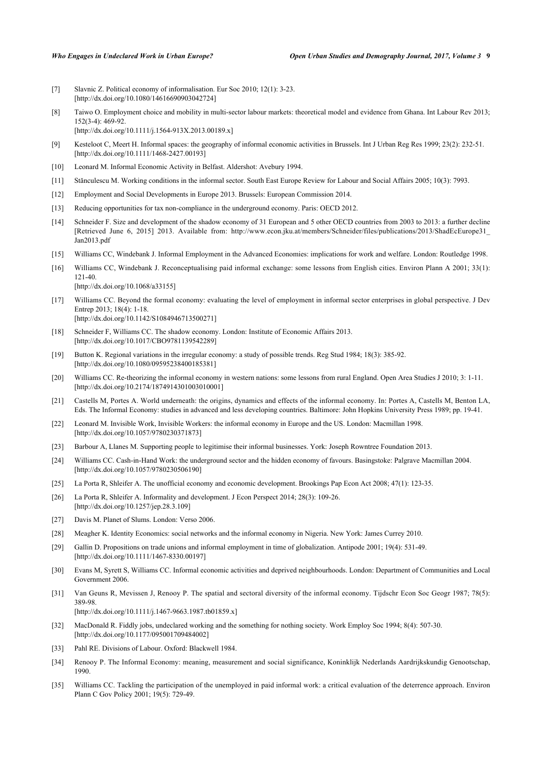- <span id="page-8-17"></span>[7] Slavnic Z. Political economy of informalisation. Eur Soc 2010; 12(1): 3-23. [\[http://dx.doi.org/10.1080/14616690903042724\]](http://dx.doi.org/10.1080/14616690903042724)
- <span id="page-8-0"></span>[8] Taiwo O. Employment choice and mobility in multi-sector labour markets: theoretical model and evidence from Ghana. Int Labour Rev 2013;  $152(3-4)$ : 469-92.
	- [\[http://dx.doi.org/10.1111/j.1564-913X.2013.00189.x](http://dx.doi.org/10.1111/j.1564-913X.2013.00189.x)]
- <span id="page-8-1"></span>[9] Kesteloot C, Meert H. Informal spaces: the geography of informal economic activities in Brussels. Int J Urban Reg Res 1999; 23(2): 232-51. [\[http://dx.doi.org/10.1111/1468-2427.00193](http://dx.doi.org/10.1111/1468-2427.00193)]
- <span id="page-8-10"></span>[10] Leonard M. Informal Economic Activity in Belfast. Aldershot: Avebury 1994.
- <span id="page-8-2"></span>[11] Stănculescu M. Working conditions in the informal sector. South East Europe Review for Labour and Social Affairs 2005; 10(3): 7993.
- <span id="page-8-3"></span>[12] Employment and Social Developments in Europe 2013. Brussels: European Commission 2014.
- [13] Reducing opportunities for tax non-compliance in the underground economy. Paris: OECD 2012.
- <span id="page-8-6"></span>[14] Schneider F. Size and development of the shadow economy of 31 European and 5 other OECD countries from 2003 to 2013: a further decline [Retrieved June 6, 2015] 2013. Available from: [http://www.econ.jku.at/members/Schneider/files/publications/2013/ShadEcEurope31\\_](http://www.econ.jku.at/members/Schneider/files/publications/2013/ShadEcEurope31_Jan2013.pdf) [Jan2013.pdf](http://www.econ.jku.at/members/Schneider/files/publications/2013/ShadEcEurope31_Jan2013.pdf)
- [15] Williams CC, Windebank J. Informal Employment in the Advanced Economies: implications for work and welfare. London: Routledge 1998.
- <span id="page-8-4"></span>[16] Williams CC, Windebank J. Reconceptualising paid informal exchange: some lessons from English cities. Environ Plann A 2001; 33(1): 121-40. [\[http://dx.doi.org/10.1068/a33155](http://dx.doi.org/10.1068/a33155)]
- <span id="page-8-5"></span>[17] Williams CC. Beyond the formal economy: evaluating the level of employment in informal sector enterprises in global perspective. J Dev Entrep 2013; 18(4): 1-18. [\[http://dx.doi.org/10.1142/S1084946713500271](http://dx.doi.org/10.1142/S1084946713500271)]
- <span id="page-8-7"></span>[18] Schneider F, Williams CC. The shadow economy. London: Institute of Economic Affairs 2013. [\[http://dx.doi.org/10.1017/CBO9781139542289](http://dx.doi.org/10.1017/CBO9781139542289)]
- <span id="page-8-8"></span>[19] Button K. Regional variations in the irregular economy: a study of possible trends. Reg Stud 1984; 18(3): 385-92. [\[http://dx.doi.org/10.1080/09595238400185381\]](http://dx.doi.org/10.1080/09595238400185381)
- <span id="page-8-9"></span>[20] Williams CC. Re-theorizing the informal economy in western nations: some lessons from rural England. Open Area Studies J 2010; 3: 1-11. [\[http://dx.doi.org/10.2174/1874914301003010001\]](http://dx.doi.org/10.2174/1874914301003010001)
- <span id="page-8-11"></span>[21] Castells M, Portes A. World underneath: the origins, dynamics and effects of the informal economy. In: Portes A, Castells M, Benton LA, Eds. The Informal Economy: studies in advanced and less developing countries. Baltimore: John Hopkins University Press 1989; pp. 19-41.
- <span id="page-8-12"></span>[22] Leonard M. Invisible Work, Invisible Workers: the informal economy in Europe and the US. London: Macmillan 1998. [\[http://dx.doi.org/10.1057/9780230371873\]](http://dx.doi.org/10.1057/9780230371873)
- <span id="page-8-13"></span>[23] Barbour A, Llanes M. Supporting people to legitimise their informal businesses. York: Joseph Rowntree Foundation 2013.
- <span id="page-8-14"></span>[24] Williams CC. Cash-in-Hand Work: the underground sector and the hidden economy of favours. Basingstoke: Palgrave Macmillan 2004. [\[http://dx.doi.org/10.1057/9780230506190\]](http://dx.doi.org/10.1057/9780230506190)
- <span id="page-8-15"></span>[25] La Porta R, Shleifer A. The unofficial economy and economic development. Brookings Pap Econ Act 2008; 47(1): 123-35.
- <span id="page-8-16"></span>[26] La Porta R, Shleifer A. Informality and development. J Econ Perspect 2014; 28(3): 109-26. [\[http://dx.doi.org/10.1257/jep.28.3.109\]](http://dx.doi.org/10.1257/jep.28.3.109)
- <span id="page-8-18"></span>[27] Davis M. Planet of Slums. London: Verso 2006.
- <span id="page-8-19"></span>[28] Meagher K. Identity Economics: social networks and the informal economy in Nigeria. New York: James Currey 2010.
- <span id="page-8-20"></span>[29] Gallin D. Propositions on trade unions and informal employment in time of globalization. Antipode 2001; 19(4): 531-49. [\[http://dx.doi.org/10.1111/1467-8330.00197](http://dx.doi.org/10.1111/1467-8330.00197)]
- <span id="page-8-21"></span>[30] Evans M, Syrett S, Williams CC. Informal economic activities and deprived neighbourhoods. London: Department of Communities and Local Government 2006.
- <span id="page-8-22"></span>[31] Van Geuns R, Mevissen J, Renooy P. The spatial and sectoral diversity of the informal economy. Tijdschr Econ Soc Geogr 1987; 78(5): 389-98. [\[http://dx.doi.org/10.1111/j.1467-9663.1987.tb01859.x\]](http://dx.doi.org/10.1111/j.1467-9663.1987.tb01859.x)
- <span id="page-8-23"></span>[32] MacDonald R. Fiddly jobs, undeclared working and the something for nothing society. Work Employ Soc 1994; 8(4): 507-30. [\[http://dx.doi.org/10.1177/095001709484002\]](http://dx.doi.org/10.1177/095001709484002)
- <span id="page-8-25"></span>[33] Pahl RE. Divisions of Labour. Oxford: Blackwell 1984.
- <span id="page-8-26"></span>[34] Renooy P. The Informal Economy: meaning, measurement and social significance, Koninklijk Nederlands Aardrijkskundig Genootschap, 1990.
- <span id="page-8-24"></span>[35] Williams CC. Tackling the participation of the unemployed in paid informal work: a critical evaluation of the deterrence approach. Environ Plann C Gov Policy 2001; 19(5): 729-49.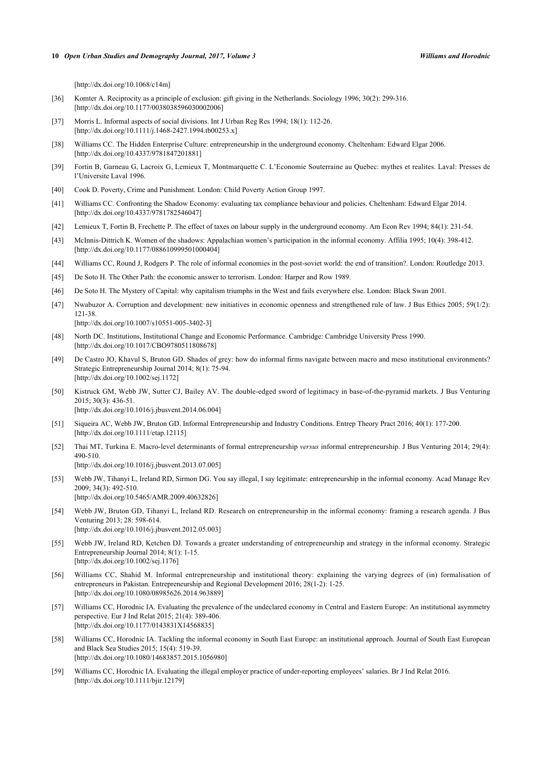[\[http://dx.doi.org/10.1068/c14m\]](http://dx.doi.org/10.1068/c14m)

- <span id="page-9-0"></span>[36] Komter A. Reciprocity as a principle of exclusion: gift giving in the Netherlands. Sociology 1996; 30(2): 299-316. [\[http://dx.doi.org/10.1177/0038038596030002006\]](http://dx.doi.org/10.1177/0038038596030002006)
- [37] Morris L. Informal aspects of social divisions. Int J Urban Reg Res 1994; 18(1): 112-26. [\[http://dx.doi.org/10.1111/j.1468-2427.1994.tb00253.x\]](http://dx.doi.org/10.1111/j.1468-2427.1994.tb00253.x)
- <span id="page-9-1"></span>[38] Williams CC. The Hidden Enterprise Culture: entrepreneurship in the underground economy. Cheltenham: Edward Elgar 2006. [\[http://dx.doi.org/10.4337/9781847201881\]](http://dx.doi.org/10.4337/9781847201881)
- <span id="page-9-2"></span>[39] Fortin B, Garneau G, Lacroix G, Lemieux T, Montmarquette C. L'Economie Souterraine au Quebec: mythes et realites. Laval: Presses de l'Universite Laval 1996.
- <span id="page-9-3"></span>[40] Cook D. Poverty, Crime and Punishment. London: Child Poverty Action Group 1997.
- <span id="page-9-4"></span>[41] Williams CC. Confronting the Shadow Economy: evaluating tax compliance behaviour and policies. Cheltenham: Edward Elgar 2014. [\[http://dx.doi.org/10.4337/9781782546047\]](http://dx.doi.org/10.4337/9781782546047)
- <span id="page-9-5"></span>[42] Lemieux T, Fortin B, Frechette P. The effect of taxes on labour supply in the underground economy. Am Econ Rev 1994; 84(1): 231-54.
- <span id="page-9-6"></span>[43] McInnis-Dittrich K. Women of the shadows: Appalachian women's participation in the informal economy. Affilia 1995; 10(4): 398-412. [\[http://dx.doi.org/10.1177/088610999501000404\]](http://dx.doi.org/10.1177/088610999501000404)
- <span id="page-9-7"></span>[44] Williams CC, Round J, Rodgers P. The role of informal economies in the post-soviet world: the end of transition?. London: Routledge 2013.
- <span id="page-9-8"></span>[45] De Soto H. The Other Path: the economic answer to terrorism. London: Harper and Row 1989.
- [46] De Soto H. The Mystery of Capital: why capitalism triumphs in the West and fails everywhere else. London: Black Swan 2001.
- <span id="page-9-9"></span>[47] Nwabuzor A. Corruption and development: new initiatives in economic openness and strengthened rule of law. J Bus Ethics 2005; 59(1/2): 121-38.

[\[http://dx.doi.org/10.1007/s10551-005-3402-3\]](http://dx.doi.org/10.1007/s10551-005-3402-3)

- <span id="page-9-10"></span>[48] North DC. Institutions, Institutional Change and Economic Performance. Cambridge: Cambridge University Press 1990. [\[http://dx.doi.org/10.1017/CBO9780511808678](http://dx.doi.org/10.1017/CBO9780511808678)]
- <span id="page-9-11"></span>[49] De Castro JO, Khavul S, Bruton GD. Shades of grey: how do informal firms navigate between macro and meso institutional environments? Strategic Entrepreneurship Journal 2014; 8(1): 75-94. [\[http://dx.doi.org/10.1002/sej.1172\]](http://dx.doi.org/10.1002/sej.1172)
- [50] Kistruck GM, Webb JW, Sutter CJ, Bailey AV. The double-edged sword of legitimacy in base-of-the-pyramid markets. J Bus Venturing 2015; 30(3): 436-51. [\[http://dx.doi.org/10.1016/j.jbusvent.2014.06.004](http://dx.doi.org/10.1016/j.jbusvent.2014.06.004)]
- [51] Siqueira AC, Webb JW, Bruton GD. Informal Entrepreneurship and Industry Conditions. Entrep Theory Pract 2016; 40(1): 177-200. [\[http://dx.doi.org/10.1111/etap.12115](http://dx.doi.org/10.1111/etap.12115)]
- [52] Thai MT, Turkina E. Macro-level determinants of formal entrepreneurship *versus* informal entrepreneurship. J Bus Venturing 2014; 29(4): 490-510. [\[http://dx.doi.org/10.1016/j.jbusvent.2013.07.005](http://dx.doi.org/10.1016/j.jbusvent.2013.07.005)]
- [53] Webb JW, Tihanyi L, Ireland RD, Sirmon DG. You say illegal, I say legitimate: entrepreneurship in the informal economy. Acad Manage Rev 2009; 34(3): 492-510.

[\[http://dx.doi.org/10.5465/AMR.2009.40632826](http://dx.doi.org/10.5465/AMR.2009.40632826)]

- [54] Webb JW, Bruton GD, Tihanyi L, Ireland RD. Research on entrepreneurship in the informal economy: framing a research agenda. J Bus Venturing 2013; 28: 598-614. [\[http://dx.doi.org/10.1016/j.jbusvent.2012.05.003](http://dx.doi.org/10.1016/j.jbusvent.2012.05.003)]
- <span id="page-9-12"></span>[55] Webb JW, Ireland RD, Ketchen DJ. Towards a greater understanding of entrepreneurship and strategy in the informal economy. Strategic Entrepreneurship Journal 2014; 8(1): 1-15. [\[http://dx.doi.org/10.1002/sej.1176\]](http://dx.doi.org/10.1002/sej.1176)
- <span id="page-9-13"></span>[56] Williams CC, Shahid M. Informal entrepreneurship and institutional theory: explaining the varying degrees of (in) formalisation of entrepreneurs in Pakistan. Entrepreneurship and Regional Development 2016; 28(1-2): 1-25. [\[http://dx.doi.org/10.1080/08985626.2014.963889\]](http://dx.doi.org/10.1080/08985626.2014.963889)
- [57] Williams CC, Horodnic IA. Evaluating the prevalence of the undeclared economy in Central and Eastern Europe: An institutional asymmetry perspective. Eur J Ind Relat 2015; 21(4): 389-406. [\[http://dx.doi.org/10.1177/0143831X14568835\]](http://dx.doi.org/10.1177/0143831X14568835)
- [58] Williams CC, Horodnic IA. Tackling the informal economy in South East Europe: an institutional approach. Journal of South East European and Black Sea Studies 2015; 15(4): 519-39. [\[http://dx.doi.org/10.1080/14683857.2015.1056980\]](http://dx.doi.org/10.1080/14683857.2015.1056980)
- [59] Williams CC, Horodnic IA. Evaluating the illegal employer practice of under-reporting employees' salaries. Br J Ind Relat 2016. [\[http://dx.doi.org/10.1111/bjir.12179\]](http://dx.doi.org/10.1111/bjir.12179)